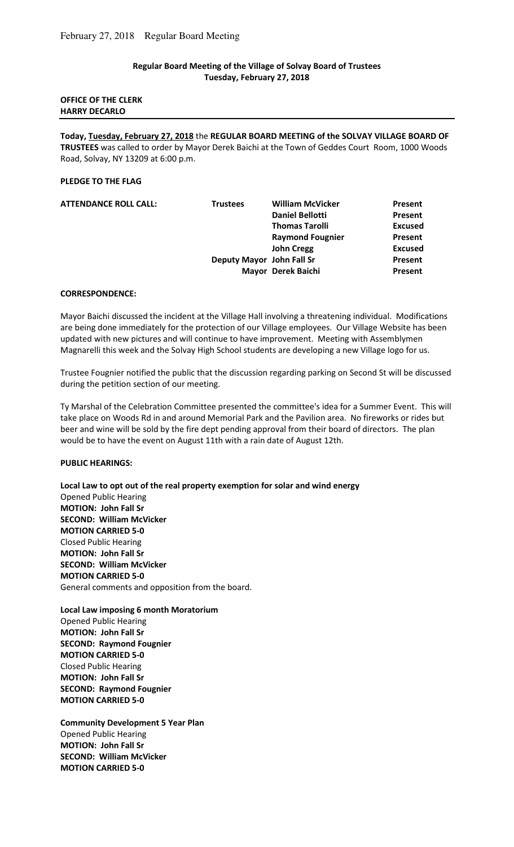## **Regular Board Meeting of the Village of Solvay Board of Trustees Tuesday, February 27, 2018**

### **OFFICE OF THE CLERK HARRY DECARLO**

**Today, Tuesday, February 27, 2018** the **REGULAR BOARD MEETING of the SOLVAY VILLAGE BOARD OF TRUSTEES** was called to order by Mayor Derek Baichi at the Town of Geddes Court Room, 1000 Woods Road, Solvay, NY 13209 at 6:00 p.m.

## **PLEDGE TO THE FLAG**

| <b>Daniel Bellotti</b><br>Present       | Present |
|-----------------------------------------|---------|
|                                         |         |
| <b>Thomas Tarolli</b><br><b>Excused</b> |         |
| <b>Raymond Fougnier</b><br>Present      |         |
| <b>John Cregg</b><br><b>Excused</b>     |         |
| Deputy Mayor John Fall Sr<br>Present    |         |
| Mayor Derek Baichi<br>Present           |         |

### **CORRESPONDENCE:**

Mayor Baichi discussed the incident at the Village Hall involving a threatening individual. Modifications are being done immediately for the protection of our Village employees. Our Village Website has been updated with new pictures and will continue to have improvement. Meeting with Assemblymen Magnarelli this week and the Solvay High School students are developing a new Village logo for us.

Trustee Fougnier notified the public that the discussion regarding parking on Second St will be discussed during the petition section of our meeting.

Ty Marshal of the Celebration Committee presented the committee's idea for a Summer Event. This will take place on Woods Rd in and around Memorial Park and the Pavilion area. No fireworks or rides but beer and wine will be sold by the fire dept pending approval from their board of directors. The plan would be to have the event on August 11th with a rain date of August 12th.

### **PUBLIC HEARINGS:**

**Local Law to opt out of the real property exemption for solar and wind energy**  Opened Public Hearing **MOTION: John Fall Sr SECOND: William McVicker MOTION CARRIED 5-0**  Closed Public Hearing **MOTION: John Fall Sr SECOND: William McVicker MOTION CARRIED 5-0**  General comments and opposition from the board.

**Local Law imposing 6 month Moratorium**  Opened Public Hearing **MOTION: John Fall Sr SECOND: Raymond Fougnier MOTION CARRIED 5-0**  Closed Public Hearing **MOTION: John Fall Sr SECOND: Raymond Fougnier MOTION CARRIED 5-0** 

**Community Development 5 Year Plan**  Opened Public Hearing **MOTION: John Fall Sr SECOND: William McVicker MOTION CARRIED 5-0**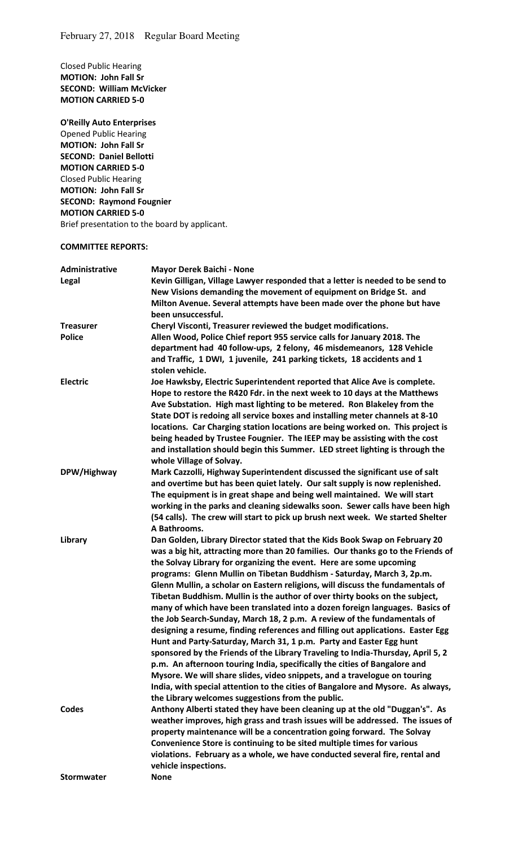Closed Public Hearing **MOTION: John Fall Sr SECOND: William McVicker MOTION CARRIED 5-0** 

**O'Reilly Auto Enterprises**  Opened Public Hearing **MOTION: John Fall Sr SECOND: Daniel Bellotti MOTION CARRIED 5-0**  Closed Public Hearing **MOTION: John Fall Sr SECOND: Raymond Fougnier MOTION CARRIED 5-0**  Brief presentation to the board by applicant.

#### **COMMITTEE REPORTS:**

| Administrative    | Mayor Derek Baichi - None                                                                                                                                                                                                                                                                                                                                                                                                                                                                                                                                                                                                                                                                                                                                                                                                                                                                                                                                                                                                                                                                                                            |
|-------------------|--------------------------------------------------------------------------------------------------------------------------------------------------------------------------------------------------------------------------------------------------------------------------------------------------------------------------------------------------------------------------------------------------------------------------------------------------------------------------------------------------------------------------------------------------------------------------------------------------------------------------------------------------------------------------------------------------------------------------------------------------------------------------------------------------------------------------------------------------------------------------------------------------------------------------------------------------------------------------------------------------------------------------------------------------------------------------------------------------------------------------------------|
| Legal             | Kevin Gilligan, Village Lawyer responded that a letter is needed to be send to<br>New Visions demanding the movement of equipment on Bridge St. and<br>Milton Avenue. Several attempts have been made over the phone but have<br>been unsuccessful.                                                                                                                                                                                                                                                                                                                                                                                                                                                                                                                                                                                                                                                                                                                                                                                                                                                                                  |
| <b>Treasurer</b>  | Cheryl Visconti, Treasurer reviewed the budget modifications.                                                                                                                                                                                                                                                                                                                                                                                                                                                                                                                                                                                                                                                                                                                                                                                                                                                                                                                                                                                                                                                                        |
| <b>Police</b>     | Allen Wood, Police Chief report 955 service calls for January 2018. The<br>department had 40 follow-ups, 2 felony, 46 misdemeanors, 128 Vehicle<br>and Traffic, 1 DWI, 1 juvenile, 241 parking tickets, 18 accidents and 1<br>stolen vehicle.                                                                                                                                                                                                                                                                                                                                                                                                                                                                                                                                                                                                                                                                                                                                                                                                                                                                                        |
| <b>Electric</b>   | Joe Hawksby, Electric Superintendent reported that Alice Ave is complete.<br>Hope to restore the R420 Fdr. in the next week to 10 days at the Matthews<br>Ave Substation. High mast lighting to be metered. Ron Blakeley from the<br>State DOT is redoing all service boxes and installing meter channels at 8-10<br>locations. Car Charging station locations are being worked on. This project is<br>being headed by Trustee Fougnier. The IEEP may be assisting with the cost<br>and installation should begin this Summer. LED street lighting is through the<br>whole Village of Solvay.                                                                                                                                                                                                                                                                                                                                                                                                                                                                                                                                        |
| DPW/Highway       | Mark Cazzolli, Highway Superintendent discussed the significant use of salt<br>and overtime but has been quiet lately. Our salt supply is now replenished.<br>The equipment is in great shape and being well maintained. We will start<br>working in the parks and cleaning sidewalks soon. Sewer calls have been high<br>(54 calls). The crew will start to pick up brush next week. We started Shelter<br>A Bathrooms.                                                                                                                                                                                                                                                                                                                                                                                                                                                                                                                                                                                                                                                                                                             |
| Library           | Dan Golden, Library Director stated that the Kids Book Swap on February 20<br>was a big hit, attracting more than 20 families. Our thanks go to the Friends of<br>the Solvay Library for organizing the event. Here are some upcoming<br>programs: Glenn Mullin on Tibetan Buddhism - Saturday, March 3, 2p.m.<br>Glenn Mullin, a scholar on Eastern religions, will discuss the fundamentals of<br>Tibetan Buddhism. Mullin is the author of over thirty books on the subject,<br>many of which have been translated into a dozen foreign languages. Basics of<br>the Job Search-Sunday, March 18, 2 p.m. A review of the fundamentals of<br>designing a resume, finding references and filling out applications. Easter Egg<br>Hunt and Party-Saturday, March 31, 1 p.m. Party and Easter Egg hunt<br>sponsored by the Friends of the Library Traveling to India-Thursday, April 5, 2<br>p.m. An afternoon touring India, specifically the cities of Bangalore and<br>Mysore. We will share slides, video snippets, and a travelogue on touring<br>India, with special attention to the cities of Bangalore and Mysore. As always, |
| Codes             | the Library welcomes suggestions from the public.<br>Anthony Alberti stated they have been cleaning up at the old "Duggan's". As<br>weather improves, high grass and trash issues will be addressed. The issues of<br>property maintenance will be a concentration going forward. The Solvay<br>Convenience Store is continuing to be sited multiple times for various<br>violations. February as a whole, we have conducted several fire, rental and<br>vehicle inspections.                                                                                                                                                                                                                                                                                                                                                                                                                                                                                                                                                                                                                                                        |
| <b>Stormwater</b> | <b>None</b>                                                                                                                                                                                                                                                                                                                                                                                                                                                                                                                                                                                                                                                                                                                                                                                                                                                                                                                                                                                                                                                                                                                          |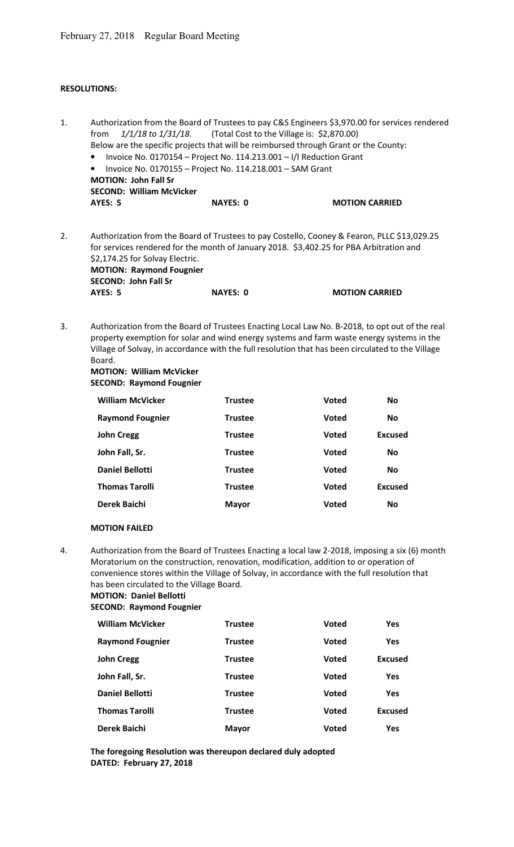# **RESOLUTIONS:**

| 1. | Authorization from the Board of Trustees to pay C&S Engineers \$3,970.00 for services rendered<br>1/1/18 to 1/31/18.<br>(Total Cost to the Village is: \$2,870.00)<br>from<br>Below are the specific projects that will be reimbursed through Grant or the County:<br>Invoice No. 0170154 - Project No. 114.213.001 - I/I Reduction Grant<br>Invoice No. 0170155 - Project No. 114.218.001 - SAM Grant<br><b>MOTION: John Fall Sr</b> |                 |              |                       |  |
|----|---------------------------------------------------------------------------------------------------------------------------------------------------------------------------------------------------------------------------------------------------------------------------------------------------------------------------------------------------------------------------------------------------------------------------------------|-----------------|--------------|-----------------------|--|
|    | <b>SECOND: William McVicker</b><br><b>AYES: 5</b>                                                                                                                                                                                                                                                                                                                                                                                     | <b>NAYES: 0</b> |              | <b>MOTION CARRIED</b> |  |
| 2. | Authorization from the Board of Trustees to pay Costello, Cooney & Fearon, PLLC \$13,029.25<br>for services rendered for the month of January 2018. \$3,402.25 for PBA Arbitration and<br>\$2,174.25 for Solvay Electric.<br><b>MOTION: Raymond Fougnier</b><br><b>SECOND: John Fall Sr</b>                                                                                                                                           |                 |              |                       |  |
|    | <b>AYES: 5</b>                                                                                                                                                                                                                                                                                                                                                                                                                        | <b>NAYES: 0</b> |              | <b>MOTION CARRIED</b> |  |
| 3. | Authorization from the Board of Trustees Enacting Local Law No. B-2018, to opt out of the real<br>property exemption for solar and wind energy systems and farm waste energy systems in the<br>Village of Solvay, in accordance with the full resolution that has been circulated to the Village<br>Board.<br><b>MOTION: William McVicker</b><br><b>SECOND: Raymond Fougnier</b>                                                      |                 |              |                       |  |
|    | <b>William McVicker</b>                                                                                                                                                                                                                                                                                                                                                                                                               | <b>Trustee</b>  | <b>Voted</b> | <b>No</b>             |  |
|    | <b>Raymond Fougnier</b>                                                                                                                                                                                                                                                                                                                                                                                                               | <b>Trustee</b>  | <b>Voted</b> | <b>No</b>             |  |
|    | <b>John Cregg</b>                                                                                                                                                                                                                                                                                                                                                                                                                     | <b>Trustee</b>  | <b>Voted</b> | <b>Excused</b>        |  |
|    | John Fall, Sr.                                                                                                                                                                                                                                                                                                                                                                                                                        | <b>Trustee</b>  | <b>Voted</b> | <b>No</b>             |  |
|    | <b>Daniel Bellotti</b>                                                                                                                                                                                                                                                                                                                                                                                                                | <b>Trustee</b>  | <b>Voted</b> | <b>No</b>             |  |
|    | <b>Thomas Tarolli</b>                                                                                                                                                                                                                                                                                                                                                                                                                 | <b>Trustee</b>  | <b>Voted</b> | <b>Excused</b>        |  |
|    | <b>Derek Baichi</b>                                                                                                                                                                                                                                                                                                                                                                                                                   | <b>Mayor</b>    | Voted        | Νo                    |  |
|    | <b>MOTION FAILED</b>                                                                                                                                                                                                                                                                                                                                                                                                                  |                 |              |                       |  |
| 4. | Authorization from the Board of Trustees Enacting a local law 2-2018, imposing a six (6) month<br>Moratorium on the construction, renovation, modification, addition to or operation of<br>convenience stores within the Village of Solvay, in accordance with the full resolution that<br>has been circulated to the Village Board.<br><b>MOTION: Daniel Bellotti</b><br><b>SECOND: Raymond Fougnier</b>                             |                 |              |                       |  |
|    | <b>William McVicker</b>                                                                                                                                                                                                                                                                                                                                                                                                               | <b>Trustee</b>  | <b>Voted</b> | <b>Yes</b>            |  |
|    | <b>Raymond Fougnier</b>                                                                                                                                                                                                                                                                                                                                                                                                               | <b>Trustee</b>  | <b>Voted</b> | <b>Yes</b>            |  |
|    | <b>John Cregg</b>                                                                                                                                                                                                                                                                                                                                                                                                                     | <b>Trustee</b>  | <b>Voted</b> | <b>Excused</b>        |  |
|    | John Fall, Sr.                                                                                                                                                                                                                                                                                                                                                                                                                        | <b>Trustee</b>  | <b>Voted</b> | Yes                   |  |
|    | <b>Daniel Bellotti</b>                                                                                                                                                                                                                                                                                                                                                                                                                | <b>Trustee</b>  | <b>Voted</b> | <b>Yes</b>            |  |
|    | <b>Thomas Tarolli</b>                                                                                                                                                                                                                                                                                                                                                                                                                 | <b>Trustee</b>  | <b>Voted</b> | <b>Excused</b>        |  |
|    | Derek Baichi                                                                                                                                                                                                                                                                                                                                                                                                                          | <b>Mayor</b>    | <b>Voted</b> | Yes                   |  |
|    |                                                                                                                                                                                                                                                                                                                                                                                                                                       |                 |              |                       |  |

**The foregoing Resolution was thereupon declared duly adopted DATED: February 27, 2018**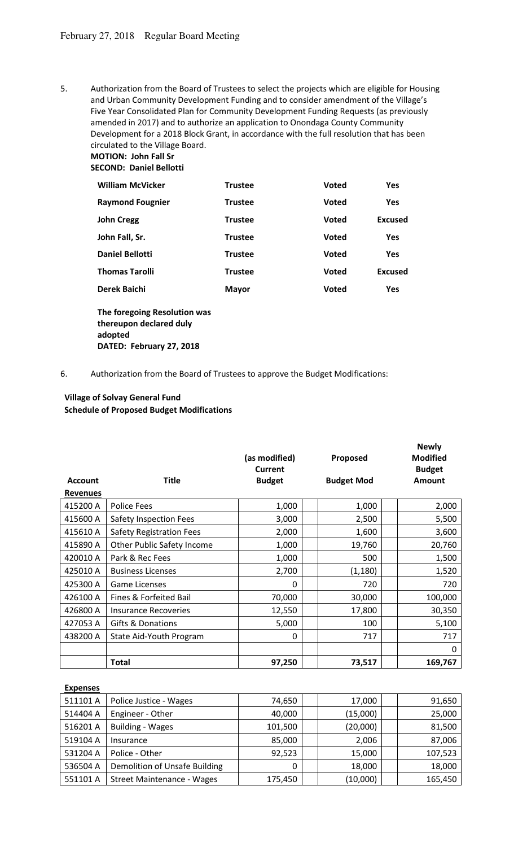5. Authorization from the Board of Trustees to select the projects which are eligible for Housing and Urban Community Development Funding and to consider amendment of the Village's Five Year Consolidated Plan for Community Development Funding Requests (as previously amended in 2017) and to authorize an application to Onondaga County Community Development for a 2018 Block Grant, in accordance with the full resolution that has been circulated to the Village Board.

**MOTION: John Fall Sr SECOND: Daniel Bellotti** 

| <b>William McVicker</b> | <b>Trustee</b> | <b>Voted</b> | Yes            |
|-------------------------|----------------|--------------|----------------|
| <b>Raymond Fougnier</b> | <b>Trustee</b> | <b>Voted</b> | <b>Yes</b>     |
| <b>John Cregg</b>       | <b>Trustee</b> | <b>Voted</b> | <b>Excused</b> |
| John Fall, Sr.          | <b>Trustee</b> | <b>Voted</b> | <b>Yes</b>     |
| <b>Daniel Bellotti</b>  | <b>Trustee</b> | <b>Voted</b> | Yes            |
| <b>Thomas Tarolli</b>   | <b>Trustee</b> | <b>Voted</b> | <b>Excused</b> |
| Derek Baichi            | <b>Mayor</b>   | <b>Voted</b> | <b>Yes</b>     |

**The foregoing Resolution was thereupon declared duly adopted DATED: February 27, 2018**

## 6. Authorization from the Board of Trustees to approve the Budget Modifications:

# **Village of Solvay General Fund Schedule of Proposed Budget Modifications**

| <b>Account</b>  | <b>Title</b>                    | (as modified)<br>Current<br><b>Budget</b> | Proposed<br><b>Budget Mod</b> | <b>Newly</b><br><b>Modified</b><br><b>Budget</b><br><b>Amount</b> |
|-----------------|---------------------------------|-------------------------------------------|-------------------------------|-------------------------------------------------------------------|
| <b>Revenues</b> |                                 |                                           |                               |                                                                   |
| 415200 A        | <b>Police Fees</b>              | 1,000                                     | 1,000                         | 2,000                                                             |
| 415600 A        | Safety Inspection Fees          | 3,000                                     | 2,500                         | 5,500                                                             |
| 415610 A        | <b>Safety Registration Fees</b> | 2,000                                     | 1,600                         | 3,600                                                             |
| 415890 A        | Other Public Safety Income      | 1,000                                     | 19,760                        | 20,760                                                            |
| 420010 A        | Park & Rec Fees                 | 1,000                                     | 500                           | 1,500                                                             |
| 425010 A        | <b>Business Licenses</b>        | 2,700                                     | (1, 180)                      | 1,520                                                             |
| 425300 A        | <b>Game Licenses</b>            | 0                                         | 720                           | 720                                                               |
| 426100 A        | Fines & Forfeited Bail          | 70,000                                    | 30,000                        | 100,000                                                           |
| 426800 A        | Insurance Recoveries            | 12,550                                    | 17,800                        | 30,350                                                            |
| 427053 A        | Gifts & Donations               | 5,000                                     | 100                           | 5,100                                                             |
| 438200 A        | State Aid-Youth Program         | 0                                         | 717                           | 717                                                               |
|                 |                                 |                                           |                               | 0                                                                 |
|                 | <b>Total</b>                    | 97,250                                    | 73,517                        | 169,767                                                           |

#### **Expenses**

| 511101 A | Police Justice - Wages            | 74,650  | 17,000   | 91,650  |
|----------|-----------------------------------|---------|----------|---------|
| 514404 A | Engineer - Other                  | 40,000  | (15,000) | 25,000  |
| 516201 A | <b>Building - Wages</b>           | 101,500 | (20,000) | 81,500  |
| 519104 A | Insurance                         | 85,000  | 2,006    | 87,006  |
| 531204 A | Police - Other                    | 92,523  | 15,000   | 107,523 |
| 536504 A | Demolition of Unsafe Building     | 0       | 18,000   | 18,000  |
| 551101 A | <b>Street Maintenance - Wages</b> | 175,450 | (10,000) | 165,450 |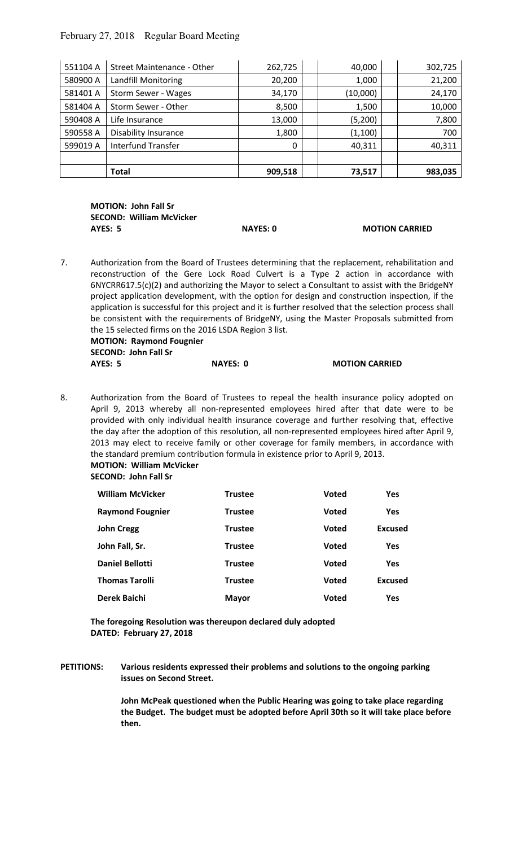## February 27, 2018 Regular Board Meeting

| 551104 A | Street Maintenance - Other  | 262,725  | 40,000   | 302,725 |
|----------|-----------------------------|----------|----------|---------|
| 580900 A | Landfill Monitoring         | 20,200   | 1,000    | 21,200  |
| 581401 A | Storm Sewer - Wages         | 34,170   | (10,000) | 24,170  |
| 581404 A | Storm Sewer - Other         | 8,500    | 1,500    | 10,000  |
| 590408 A | Life Insurance              | 13,000   | (5,200)  | 7,800   |
| 590558 A | <b>Disability Insurance</b> | 1,800    | (1,100)  | 700     |
| 599019 A | <b>Interfund Transfer</b>   | $\Omega$ | 40,311   | 40,311  |
|          |                             |          |          |         |
|          | Total                       | 909,518  | 73,517   | 983,035 |

**MOTION: John Fall Sr SECOND: William McVicker AYES: 5 NAYES: 0 MOTION CARRIED** 

7. Authorization from the Board of Trustees determining that the replacement, rehabilitation and reconstruction of the Gere Lock Road Culvert is a Type 2 action in accordance with 6NYCRR617.5(c)(2) and authorizing the Mayor to select a Consultant to assist with the BridgeNY project application development, with the option for design and construction inspection, if the application is successful for this project and it is further resolved that the selection process shall be consistent with the requirements of BridgeNY, using the Master Proposals submitted from the 15 selected firms on the 2016 LSDA Region 3 list. **MOTION: Raymond Fougnier** 

| <b>SECOND: John Fall Sr</b> |          |                       |
|-----------------------------|----------|-----------------------|
| AYES: 5                     | NAYES: 0 | <b>MOTION CARRIED</b> |

8. Authorization from the Board of Trustees to repeal the health insurance policy adopted on April 9, 2013 whereby all non-represented employees hired after that date were to be provided with only individual health insurance coverage and further resolving that, effective the day after the adoption of this resolution, all non-represented employees hired after April 9, 2013 may elect to receive family or other coverage for family members, in accordance with the standard premium contribution formula in existence prior to April 9, 2013.

**MOTION: William McVicker** 

**SECOND: John Fall Sr** 

| <b>William McVicker</b> | <b>Trustee</b> | <b>Voted</b> | <b>Yes</b>     |
|-------------------------|----------------|--------------|----------------|
| <b>Raymond Fougnier</b> | <b>Trustee</b> | <b>Voted</b> | <b>Yes</b>     |
| John Cregg              | <b>Trustee</b> | <b>Voted</b> | <b>Excused</b> |
| John Fall, Sr.          | <b>Trustee</b> | <b>Voted</b> | <b>Yes</b>     |
| <b>Daniel Bellotti</b>  | <b>Trustee</b> | <b>Voted</b> | <b>Yes</b>     |
| <b>Thomas Tarolli</b>   | <b>Trustee</b> | <b>Voted</b> | <b>Excused</b> |
| Derek Baichi            | <b>Mayor</b>   | <b>Voted</b> | <b>Yes</b>     |

**The foregoing Resolution was thereupon declared duly adopted DATED: February 27, 2018** 

**PETITIONS: Various residents expressed their problems and solutions to the ongoing parking issues on Second Street.** 

> **John McPeak questioned when the Public Hearing was going to take place regarding the Budget. The budget must be adopted before April 30th so it will take place before then.**